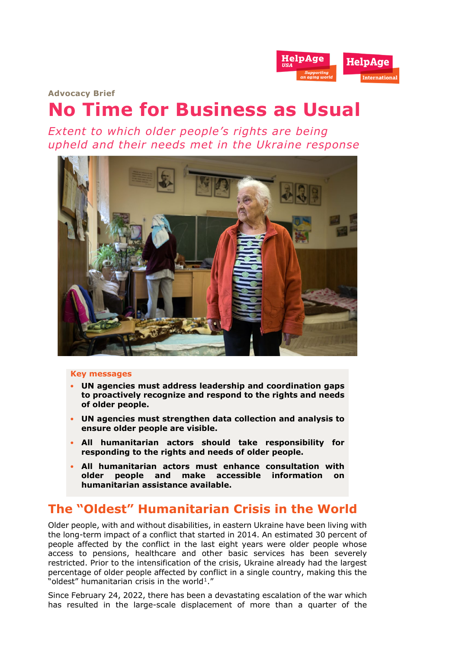

**Advocacy Brief**

# **No Time for Business as Usual**

*Extent to which older people's rights are being upheld and their needs met in the Ukraine response*



#### **Key messages**

- **UN agencies must address leadership and coordination gaps to proactively recognize and respond to the rights and needs of older people.**
- **UN agencies must strengthen data collection and analysis to ensure older people are visible.**
- **All humanitarian actors should take responsibility for responding to the rights and needs of older people.**
- **All humanitarian actors must enhance consultation with older people and make accessible information on humanitarian assistance available.**

## **The "Oldest" Humanitarian Crisis in the World**

Older people, with and without disabilities, in eastern Ukraine have been living with the long-term impact of a conflict that started in 2014. An estimated 30 percent of people affected by the conflict in the last eight years were older people whose access to pensions, healthcare and other basic services has been severely restricted. Prior to the intensification of the crisis, Ukraine already had the largest percentage of older people affected by conflict in a single country, making this the "oldest" humanitarian crisis in the world<sup>1</sup>."

Since February 24, 2022, there has been a devastating escalation of the war which has resulted in the large-scale displacement of more than a quarter of the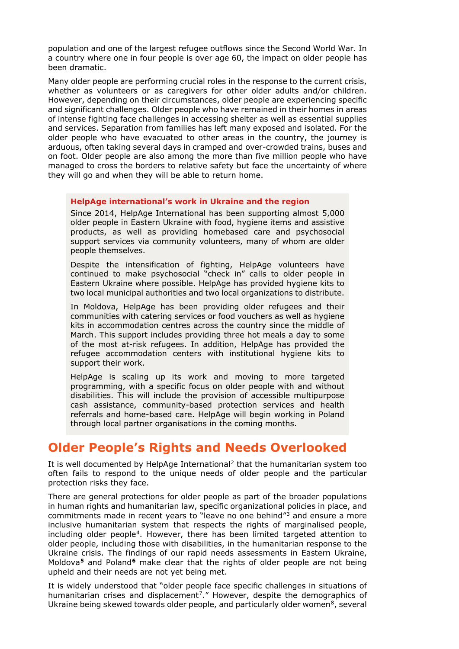population and one of the largest refugee outflows since the Second World War. In a country where one in four people is over age 60, the impact on older people has been dramatic.

Many older people are performing crucial roles in the response to the current crisis, whether as volunteers or as caregivers for other older adults and/or children. However, depending on their circumstances, older people are experiencing specific and significant challenges. Older people who have remained in their homes in areas of intense fighting face challenges in accessing shelter as well as essential supplies and services. Separation from families has left many exposed and isolated. For the older people who have evacuated to other areas in the country, the journey is arduous, often taking several days in cramped and over-crowded trains, buses and on foot. Older people are also among the more than five million people who have managed to cross the borders to relative safety but face the uncertainty of where they will go and when they will be able to return home.

#### **HelpAge international's work in Ukraine and the region**

Since 2014, HelpAge International has been supporting almost 5,000 older people in Eastern Ukraine with food, hygiene items and assistive products, as well as providing homebased care and psychosocial support services via community volunteers, many of whom are older people themselves.

Despite the intensification of fighting, HelpAge volunteers have continued to make psychosocial "check in" calls to older people in Eastern Ukraine where possible. HelpAge has provided hygiene kits to two local municipal authorities and two local organizations to distribute.

In Moldova, HelpAge has been providing older refugees and their communities with catering services or food vouchers as well as hygiene kits in accommodation centres across the country since the middle of March. This support includes providing three hot meals a day to some of the most at-risk refugees. In addition, HelpAge has provided the refugee accommodation centers with institutional hygiene kits to support their work.

HelpAge is scaling up its work and moving to more targeted programming, with a specific focus on older people with and without disabilities. This will include the provision of accessible multipurpose cash assistance, community-based protection services and health referrals and home-based care. HelpAge will begin working in Poland through local partner organisations in the coming months.

## **Older People's Rights and Needs Overlooked**

It is well documented by HelpAge International<sup>[2](#page-4-1)</sup> that the humanitarian system too often fails to respond to the unique needs of older people and the particular protection risks they face.

There are general protections for older people as part of the broader populations in human rights and humanitarian law, specific organizational policies in place, and commitments made in recent years to "leave no one behind"[3](#page-4-2) and ensure a more inclusive humanitarian system that respects the rights of marginalised people, including older people<sup>[4](#page-4-3)</sup>. However, there has been limited targeted attention to older people, including those with disabilities, in the humanitarian response to the Ukraine crisis. The findings of our rapid needs assessments in Eastern Ukraine, Moldova**[5](#page-4-4)** and Poland**[6](#page-4-5)** make clear that the rights of older people are not being upheld and their needs are not yet being met.

It is widely understood that "older people face specific challenges in situations of humanitarian crises and displacement<sup>[7](#page-4-6)</sup>." However, despite the demographics of Ukraine being skewed towards older people, and particularly older women<sup>[8](#page-4-7)</sup>, several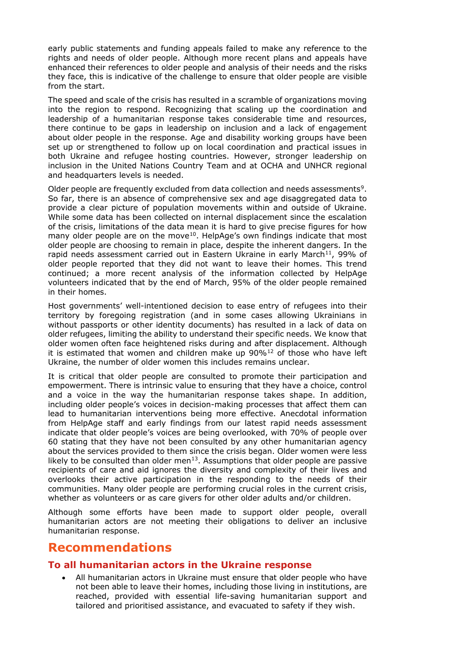early public statements and funding appeals failed to make any reference to the rights and needs of older people. Although more recent plans and appeals have enhanced their references to older people and analysis of their needs and the risks they face, this is indicative of the challenge to ensure that older people are visible from the start.

The speed and scale of the crisis has resulted in a scramble of organizations moving into the region to respond. Recognizing that scaling up the coordination and leadership of a humanitarian response takes considerable time and resources, there continue to be gaps in leadership on inclusion and a lack of engagement about older people in the response. Age and disability working groups have been set up or strengthened to follow up on local coordination and practical issues in both Ukraine and refugee hosting countries. However, stronger leadership on inclusion in the United Nations Country Team and at OCHA and UNHCR regional and headquarters levels is needed.

Older people are frequently excluded from data collection and needs assessments<sup>[9](#page-4-8)</sup>. So far, there is an absence of comprehensive sex and age disaggregated data to provide a clear picture of population movements within and outside of Ukraine. While some data has been collected on internal displacement since the escalation of the crisis, limitations of the data mean it is hard to give precise figures for how many older people are on the move $10$ . HelpAge's own findings indicate that most older people are choosing to remain in place, despite the inherent dangers. In the rapid needs assessment carried out in Eastern Ukraine in early March<sup>[11](#page-4-10)</sup>, 99% of older people reported that they did not want to leave their homes. This trend continued; a more recent analysis of the information collected by HelpAge volunteers indicated that by the end of March, 95% of the older people remained in their homes.

Host governments' well-intentioned decision to ease entry of refugees into their territory by foregoing registration (and in some cases allowing Ukrainians in without passports or other identity documents) has resulted in a lack of data on older refugees, limiting the ability to understand their specific needs. We know that older women often face heightened risks during and after displacement. Although it is estimated that women and children make up  $90\%$ <sup>[12](#page-4-11)</sup> of those who have left Ukraine, the number of older women this includes remains unclear.

It is critical that older people are consulted to promote their participation and empowerment. There is intrinsic value to ensuring that they have a choice, control and a voice in the way the humanitarian response takes shape. In addition, including older people's voices in decision-making processes that affect them can lead to humanitarian interventions being more effective. Anecdotal information from HelpAge staff and early findings from our latest rapid needs assessment indicate that older people's voices are being overlooked, with 70% of people over 60 stating that they have not been consulted by any other humanitarian agency about the services provided to them since the crisis began. Older women were less likely to be consulted than older men<sup>13</sup>. Assumptions that older people are passive recipients of care and aid ignores the diversity and complexity of their lives and overlooks their active participation in the responding to the needs of their communities. Many older people are performing crucial roles in the current crisis, whether as volunteers or as care givers for other older adults and/or children.

Although some efforts have been made to support older people, overall humanitarian actors are not meeting their obligations to deliver an inclusive humanitarian response.

## **Recommendations**

## **To all humanitarian actors in the Ukraine response**

• All humanitarian actors in Ukraine must ensure that older people who have not been able to leave their homes, including those living in institutions, are reached, provided with essential life-saving humanitarian support and tailored and prioritised assistance, and evacuated to safety if they wish.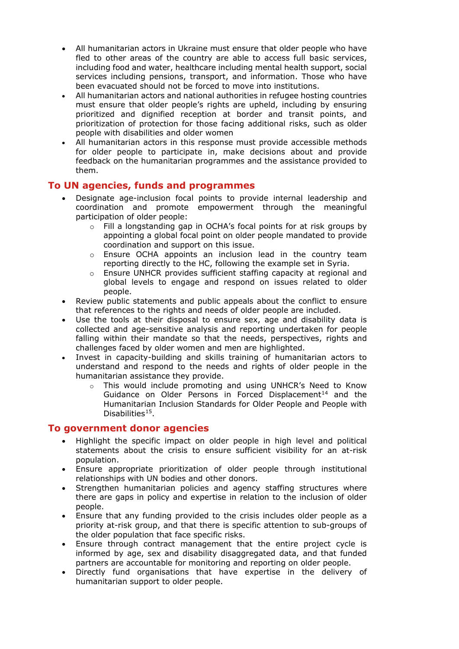- All humanitarian actors in Ukraine must ensure that older people who have fled to other areas of the country are able to access full basic services, including food and water, healthcare including mental health support, social services including pensions, transport, and information. Those who have been evacuated should not be forced to move into institutions.
- All humanitarian actors and national authorities in refugee hosting countries must ensure that older people's rights are upheld, including by ensuring prioritized and dignified reception at border and transit points, and prioritization of protection for those facing additional risks, such as older people with disabilities and older women
- All humanitarian actors in this response must provide accessible methods for older people to participate in, make decisions about and provide feedback on the humanitarian programmes and the assistance provided to them.

## **To UN agencies, funds and programmes**

- Designate age-inclusion focal points to provide internal leadership and coordination and promote empowerment through the meaningful participation of older people:
	- o Fill a longstanding gap in OCHA's focal points for at risk groups by appointing a global focal point on older people mandated to provide coordination and support on this issue.
	- o Ensure OCHA appoints an inclusion lead in the country team reporting directly to the HC, following the example set in Syria.
	- $\circ$  Ensure UNHCR provides sufficient staffing capacity at regional and global levels to engage and respond on issues related to older people.
- Review public statements and public appeals about the conflict to ensure that references to the rights and needs of older people are included.
- Use the tools at their disposal to ensure sex, age and disability data is collected and age-sensitive analysis and reporting undertaken for people falling within their mandate so that the needs, perspectives, rights and challenges faced by older women and men are highlighted.
- Invest in capacity-building and skills training of humanitarian actors to understand and respond to the needs and rights of older people in the humanitarian assistance they provide.
	- o This would include promoting and using UNHCR's Need to Know Guidance on Older Persons in Forced Displacement<sup>[14](#page-4-13)</sup> and the Humanitarian Inclusion Standards for Older People and People with Disabilities<sup>[15](#page-4-14)</sup>.

## **To government donor agencies**

- Highlight the specific impact on older people in high level and political statements about the crisis to ensure sufficient visibility for an at-risk population.
- Ensure appropriate prioritization of older people through institutional relationships with UN bodies and other donors.
- Strengthen humanitarian policies and agency staffing structures where there are gaps in policy and expertise in relation to the inclusion of older people.
- Ensure that any funding provided to the crisis includes older people as a priority at-risk group, and that there is specific attention to sub-groups of the older population that face specific risks.
- Ensure through contract management that the entire project cycle is informed by age, sex and disability disaggregated data, and that funded partners are accountable for monitoring and reporting on older people.
- Directly fund organisations that have expertise in the delivery of humanitarian support to older people.